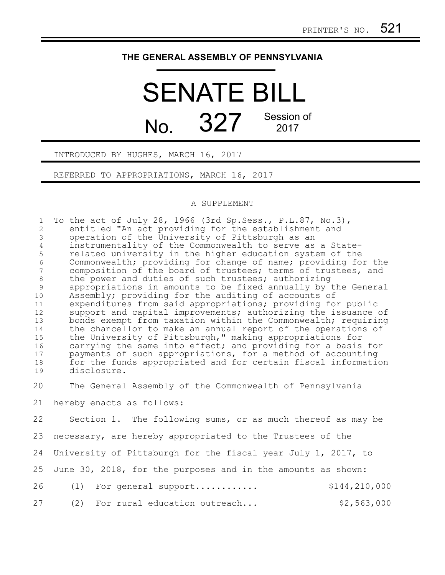## **THE GENERAL ASSEMBLY OF PENNSYLVANIA**

## SENATE BILL No. 327 Session of

INTRODUCED BY HUGHES, MARCH 16, 2017

REFERRED TO APPROPRIATIONS, MARCH 16, 2017

## A SUPPLEMENT

| $\mathbf{1}$<br>$\mathbf{2}^{\prime}$<br>$\mathcal{E}$<br>$\overline{4}$<br>5<br>$\sqrt{6}$<br>$7\phantom{.0}$<br>$\,8\,$<br>9<br>10<br>11<br>12<br>13<br>14<br>15<br>16<br>17<br>18<br>19 | To the act of July 28, 1966 (3rd Sp. Sess., P. L. 87, No. 3),<br>entitled "An act providing for the establishment and<br>operation of the University of Pittsburgh as an<br>instrumentality of the Commonwealth to serve as a State-<br>related university in the higher education system of the<br>Commonwealth; providing for change of name; providing for the<br>composition of the board of trustees; terms of trustees, and<br>the power and duties of such trustees; authorizing<br>appropriations in amounts to be fixed annually by the General<br>Assembly; providing for the auditing of accounts of<br>expenditures from said appropriations; providing for public<br>support and capital improvements; authorizing the issuance of<br>bonds exempt from taxation within the Commonwealth; requiring<br>the chancellor to make an annual report of the operations of<br>the University of Pittsburgh," making appropriations for<br>carrying the same into effect; and providing for a basis for<br>payments of such appropriations, for a method of accounting<br>for the funds appropriated and for certain fiscal information<br>disclosure. |
|--------------------------------------------------------------------------------------------------------------------------------------------------------------------------------------------|-------------------------------------------------------------------------------------------------------------------------------------------------------------------------------------------------------------------------------------------------------------------------------------------------------------------------------------------------------------------------------------------------------------------------------------------------------------------------------------------------------------------------------------------------------------------------------------------------------------------------------------------------------------------------------------------------------------------------------------------------------------------------------------------------------------------------------------------------------------------------------------------------------------------------------------------------------------------------------------------------------------------------------------------------------------------------------------------------------------------------------------------------------------|
| 20                                                                                                                                                                                         | The General Assembly of the Commonwealth of Pennsylvania                                                                                                                                                                                                                                                                                                                                                                                                                                                                                                                                                                                                                                                                                                                                                                                                                                                                                                                                                                                                                                                                                                    |
| 21                                                                                                                                                                                         | hereby enacts as follows:                                                                                                                                                                                                                                                                                                                                                                                                                                                                                                                                                                                                                                                                                                                                                                                                                                                                                                                                                                                                                                                                                                                                   |
| 22                                                                                                                                                                                         | Section 1. The following sums, or as much thereof as may be                                                                                                                                                                                                                                                                                                                                                                                                                                                                                                                                                                                                                                                                                                                                                                                                                                                                                                                                                                                                                                                                                                 |
| 23                                                                                                                                                                                         | necessary, are hereby appropriated to the Trustees of the                                                                                                                                                                                                                                                                                                                                                                                                                                                                                                                                                                                                                                                                                                                                                                                                                                                                                                                                                                                                                                                                                                   |
| 24                                                                                                                                                                                         | University of Pittsburgh for the fiscal year July 1, 2017, to                                                                                                                                                                                                                                                                                                                                                                                                                                                                                                                                                                                                                                                                                                                                                                                                                                                                                                                                                                                                                                                                                               |
| 25                                                                                                                                                                                         | June 30, 2018, for the purposes and in the amounts as shown:                                                                                                                                                                                                                                                                                                                                                                                                                                                                                                                                                                                                                                                                                                                                                                                                                                                                                                                                                                                                                                                                                                |
| 26                                                                                                                                                                                         | \$144,210,000<br>For general support<br>(1)                                                                                                                                                                                                                                                                                                                                                                                                                                                                                                                                                                                                                                                                                                                                                                                                                                                                                                                                                                                                                                                                                                                 |
| 27                                                                                                                                                                                         | For rural education outreach<br>\$2,563,000<br>(2)                                                                                                                                                                                                                                                                                                                                                                                                                                                                                                                                                                                                                                                                                                                                                                                                                                                                                                                                                                                                                                                                                                          |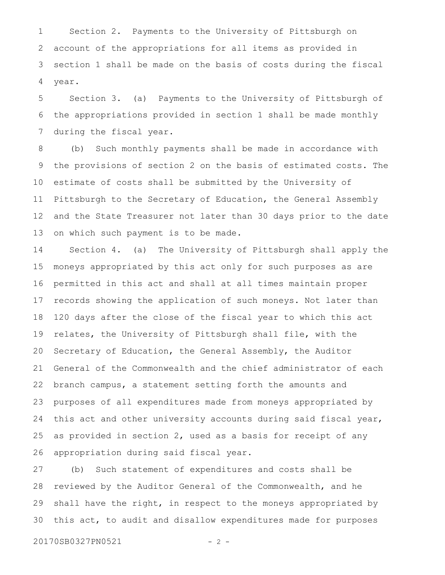Section 2. Payments to the University of Pittsburgh on account of the appropriations for all items as provided in section 1 shall be made on the basis of costs during the fiscal year. 1 2 3 4

Section 3. (a) Payments to the University of Pittsburgh of the appropriations provided in section 1 shall be made monthly during the fiscal year. 5 6 7

(b) Such monthly payments shall be made in accordance with the provisions of section 2 on the basis of estimated costs. The estimate of costs shall be submitted by the University of Pittsburgh to the Secretary of Education, the General Assembly and the State Treasurer not later than 30 days prior to the date on which such payment is to be made. 8 9 10 11 12 13

Section 4. (a) The University of Pittsburgh shall apply the moneys appropriated by this act only for such purposes as are permitted in this act and shall at all times maintain proper records showing the application of such moneys. Not later than 120 days after the close of the fiscal year to which this act relates, the University of Pittsburgh shall file, with the Secretary of Education, the General Assembly, the Auditor General of the Commonwealth and the chief administrator of each branch campus, a statement setting forth the amounts and purposes of all expenditures made from moneys appropriated by this act and other university accounts during said fiscal year, as provided in section 2, used as a basis for receipt of any appropriation during said fiscal year. 14 15 16 17 18 19 20 21 22 23 24 25 26

(b) Such statement of expenditures and costs shall be reviewed by the Auditor General of the Commonwealth, and he shall have the right, in respect to the moneys appropriated by this act, to audit and disallow expenditures made for purposes 27 28 29 30

20170SB0327PN0521 - 2 -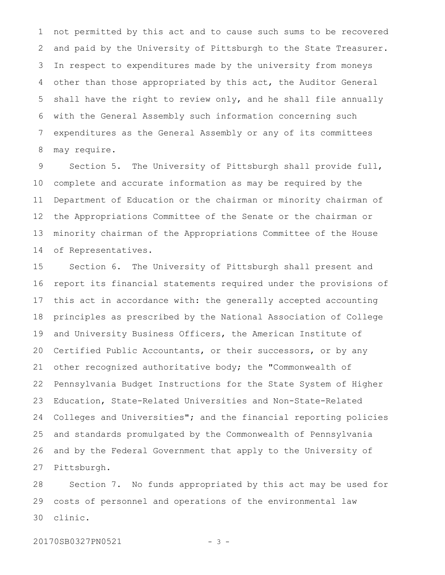not permitted by this act and to cause such sums to be recovered and paid by the University of Pittsburgh to the State Treasurer. In respect to expenditures made by the university from moneys other than those appropriated by this act, the Auditor General shall have the right to review only, and he shall file annually with the General Assembly such information concerning such expenditures as the General Assembly or any of its committees may require. 1 2 3 4 5 6 7 8

Section 5. The University of Pittsburgh shall provide full, complete and accurate information as may be required by the Department of Education or the chairman or minority chairman of the Appropriations Committee of the Senate or the chairman or minority chairman of the Appropriations Committee of the House of Representatives. 9 10 11 12 13 14

Section 6. The University of Pittsburgh shall present and report its financial statements required under the provisions of this act in accordance with: the generally accepted accounting principles as prescribed by the National Association of College and University Business Officers, the American Institute of Certified Public Accountants, or their successors, or by any other recognized authoritative body; the "Commonwealth of Pennsylvania Budget Instructions for the State System of Higher Education, State-Related Universities and Non-State-Related Colleges and Universities"; and the financial reporting policies and standards promulgated by the Commonwealth of Pennsylvania and by the Federal Government that apply to the University of Pittsburgh. 15 16 17 18 19 20 21 22 23 24 25 26 27

Section 7. No funds appropriated by this act may be used for costs of personnel and operations of the environmental law clinic. 28 29 30

20170SB0327PN0521 - 3 -